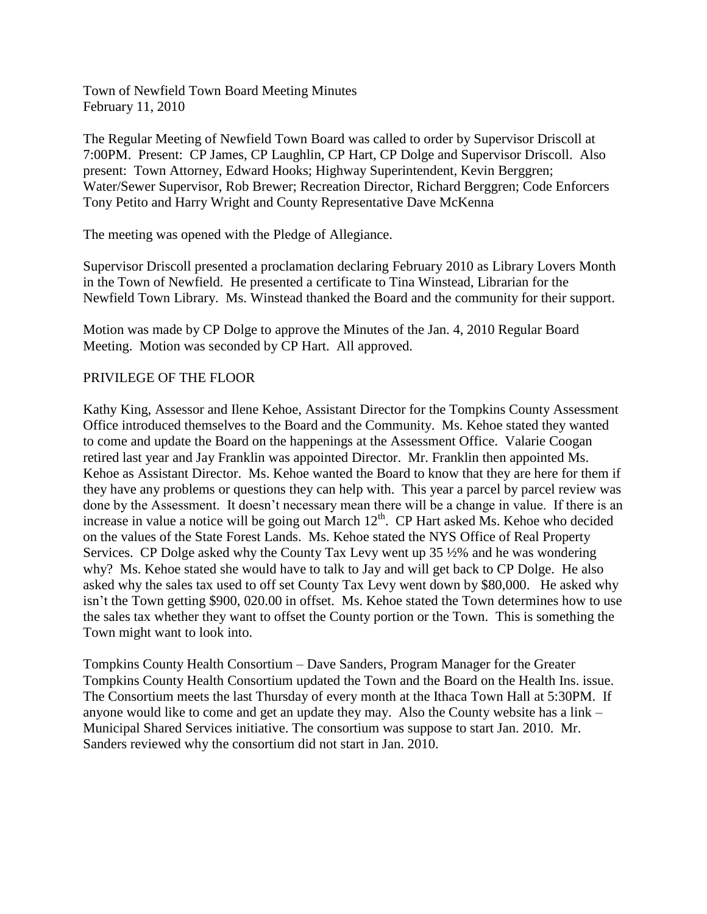Town of Newfield Town Board Meeting Minutes February 11, 2010

The Regular Meeting of Newfield Town Board was called to order by Supervisor Driscoll at 7:00PM. Present: CP James, CP Laughlin, CP Hart, CP Dolge and Supervisor Driscoll. Also present: Town Attorney, Edward Hooks; Highway Superintendent, Kevin Berggren; Water/Sewer Supervisor, Rob Brewer; Recreation Director, Richard Berggren; Code Enforcers Tony Petito and Harry Wright and County Representative Dave McKenna

The meeting was opened with the Pledge of Allegiance.

Supervisor Driscoll presented a proclamation declaring February 2010 as Library Lovers Month in the Town of Newfield. He presented a certificate to Tina Winstead, Librarian for the Newfield Town Library. Ms. Winstead thanked the Board and the community for their support.

Motion was made by CP Dolge to approve the Minutes of the Jan. 4, 2010 Regular Board Meeting. Motion was seconded by CP Hart. All approved.

# PRIVILEGE OF THE FLOOR

Kathy King, Assessor and Ilene Kehoe, Assistant Director for the Tompkins County Assessment Office introduced themselves to the Board and the Community. Ms. Kehoe stated they wanted to come and update the Board on the happenings at the Assessment Office. Valarie Coogan retired last year and Jay Franklin was appointed Director. Mr. Franklin then appointed Ms. Kehoe as Assistant Director. Ms. Kehoe wanted the Board to know that they are here for them if they have any problems or questions they can help with. This year a parcel by parcel review was done by the Assessment. It doesn't necessary mean there will be a change in value. If there is an increase in value a notice will be going out March  $12^{th}$ . CP Hart asked Ms. Kehoe who decided on the values of the State Forest Lands. Ms. Kehoe stated the NYS Office of Real Property Services. CP Dolge asked why the County Tax Levy went up 35 ½% and he was wondering why? Ms. Kehoe stated she would have to talk to Jay and will get back to CP Dolge. He also asked why the sales tax used to off set County Tax Levy went down by \$80,000. He asked why isn't the Town getting \$900, 020.00 in offset. Ms. Kehoe stated the Town determines how to use the sales tax whether they want to offset the County portion or the Town. This is something the Town might want to look into.

Tompkins County Health Consortium – Dave Sanders, Program Manager for the Greater Tompkins County Health Consortium updated the Town and the Board on the Health Ins. issue. The Consortium meets the last Thursday of every month at the Ithaca Town Hall at 5:30PM. If anyone would like to come and get an update they may. Also the County website has a link – Municipal Shared Services initiative. The consortium was suppose to start Jan. 2010. Mr. Sanders reviewed why the consortium did not start in Jan. 2010.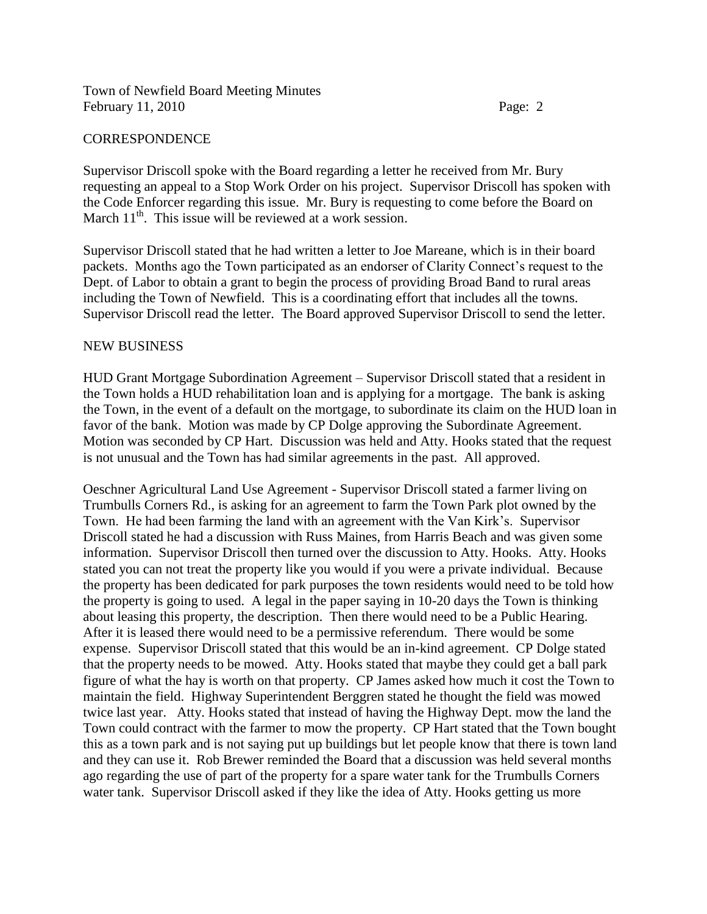# CORRESPONDENCE

Supervisor Driscoll spoke with the Board regarding a letter he received from Mr. Bury requesting an appeal to a Stop Work Order on his project. Supervisor Driscoll has spoken with the Code Enforcer regarding this issue. Mr. Bury is requesting to come before the Board on March  $11<sup>th</sup>$ . This issue will be reviewed at a work session.

Supervisor Driscoll stated that he had written a letter to Joe Mareane, which is in their board packets. Months ago the Town participated as an endorser of Clarity Connect's request to the Dept. of Labor to obtain a grant to begin the process of providing Broad Band to rural areas including the Town of Newfield. This is a coordinating effort that includes all the towns. Supervisor Driscoll read the letter. The Board approved Supervisor Driscoll to send the letter.

#### NEW BUSINESS

HUD Grant Mortgage Subordination Agreement – Supervisor Driscoll stated that a resident in the Town holds a HUD rehabilitation loan and is applying for a mortgage. The bank is asking the Town, in the event of a default on the mortgage, to subordinate its claim on the HUD loan in favor of the bank. Motion was made by CP Dolge approving the Subordinate Agreement. Motion was seconded by CP Hart. Discussion was held and Atty. Hooks stated that the request is not unusual and the Town has had similar agreements in the past. All approved.

Oeschner Agricultural Land Use Agreement - Supervisor Driscoll stated a farmer living on Trumbulls Corners Rd., is asking for an agreement to farm the Town Park plot owned by the Town. He had been farming the land with an agreement with the Van Kirk's. Supervisor Driscoll stated he had a discussion with Russ Maines, from Harris Beach and was given some information. Supervisor Driscoll then turned over the discussion to Atty. Hooks. Atty. Hooks stated you can not treat the property like you would if you were a private individual. Because the property has been dedicated for park purposes the town residents would need to be told how the property is going to used. A legal in the paper saying in 10-20 days the Town is thinking about leasing this property, the description. Then there would need to be a Public Hearing. After it is leased there would need to be a permissive referendum. There would be some expense. Supervisor Driscoll stated that this would be an in-kind agreement. CP Dolge stated that the property needs to be mowed. Atty. Hooks stated that maybe they could get a ball park figure of what the hay is worth on that property. CP James asked how much it cost the Town to maintain the field. Highway Superintendent Berggren stated he thought the field was mowed twice last year. Atty. Hooks stated that instead of having the Highway Dept. mow the land the Town could contract with the farmer to mow the property. CP Hart stated that the Town bought this as a town park and is not saying put up buildings but let people know that there is town land and they can use it. Rob Brewer reminded the Board that a discussion was held several months ago regarding the use of part of the property for a spare water tank for the Trumbulls Corners water tank. Supervisor Driscoll asked if they like the idea of Atty. Hooks getting us more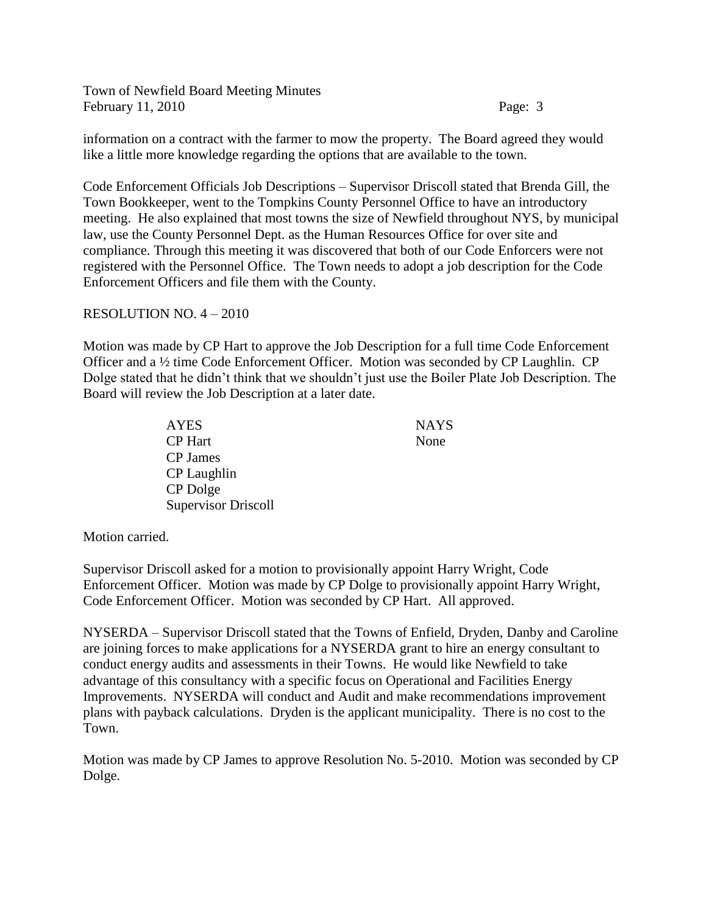information on a contract with the farmer to mow the property. The Board agreed they would like a little more knowledge regarding the options that are available to the town.

Code Enforcement Officials Job Descriptions – Supervisor Driscoll stated that Brenda Gill, the Town Bookkeeper, went to the Tompkins County Personnel Office to have an introductory meeting. He also explained that most towns the size of Newfield throughout NYS, by municipal law, use the County Personnel Dept. as the Human Resources Office for over site and compliance. Through this meeting it was discovered that both of our Code Enforcers were not registered with the Personnel Office. The Town needs to adopt a job description for the Code Enforcement Officers and file them with the County.

# RESOLUTION NO. 4 – 2010

Motion was made by CP Hart to approve the Job Description for a full time Code Enforcement Officer and a ½ time Code Enforcement Officer. Motion was seconded by CP Laughlin. CP Dolge stated that he didn't think that we shouldn't just use the Boiler Plate Job Description. The Board will review the Job Description at a later date.

| <b>AYES</b>                | <b>NAY</b> |
|----------------------------|------------|
| <b>CP</b> Hart             | None       |
| CP James                   |            |
| CP Laughlin                |            |
| CP Dolge                   |            |
| <b>Supervisor Driscoll</b> |            |

**NAYS** 

Motion carried.

Supervisor Driscoll asked for a motion to provisionally appoint Harry Wright, Code Enforcement Officer. Motion was made by CP Dolge to provisionally appoint Harry Wright, Code Enforcement Officer. Motion was seconded by CP Hart. All approved.

NYSERDA – Supervisor Driscoll stated that the Towns of Enfield, Dryden, Danby and Caroline are joining forces to make applications for a NYSERDA grant to hire an energy consultant to conduct energy audits and assessments in their Towns. He would like Newfield to take advantage of this consultancy with a specific focus on Operational and Facilities Energy Improvements. NYSERDA will conduct and Audit and make recommendations improvement plans with payback calculations. Dryden is the applicant municipality. There is no cost to the Town.

Motion was made by CP James to approve Resolution No. 5-2010. Motion was seconded by CP Dolge.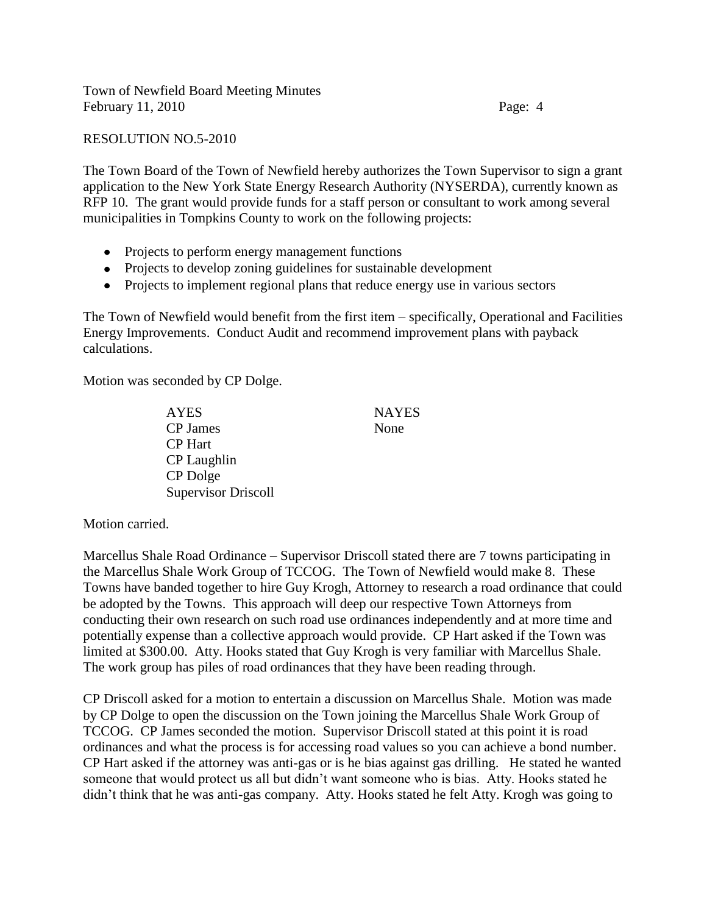RESOLUTION NO.5-2010

The Town Board of the Town of Newfield hereby authorizes the Town Supervisor to sign a grant application to the New York State Energy Research Authority (NYSERDA), currently known as RFP 10. The grant would provide funds for a staff person or consultant to work among several municipalities in Tompkins County to work on the following projects:

- Projects to perform energy management functions
- Projects to develop zoning guidelines for sustainable development
- Projects to implement regional plans that reduce energy use in various sectors

The Town of Newfield would benefit from the first item – specifically, Operational and Facilities Energy Improvements. Conduct Audit and recommend improvement plans with payback calculations.

Motion was seconded by CP Dolge.

AYES NAYES CP James None CP Hart CP Laughlin CP Dolge Supervisor Driscoll

Motion carried.

Marcellus Shale Road Ordinance – Supervisor Driscoll stated there are 7 towns participating in the Marcellus Shale Work Group of TCCOG. The Town of Newfield would make 8. These Towns have banded together to hire Guy Krogh, Attorney to research a road ordinance that could be adopted by the Towns. This approach will deep our respective Town Attorneys from conducting their own research on such road use ordinances independently and at more time and potentially expense than a collective approach would provide. CP Hart asked if the Town was limited at \$300.00. Atty. Hooks stated that Guy Krogh is very familiar with Marcellus Shale. The work group has piles of road ordinances that they have been reading through.

CP Driscoll asked for a motion to entertain a discussion on Marcellus Shale. Motion was made by CP Dolge to open the discussion on the Town joining the Marcellus Shale Work Group of TCCOG. CP James seconded the motion. Supervisor Driscoll stated at this point it is road ordinances and what the process is for accessing road values so you can achieve a bond number. CP Hart asked if the attorney was anti-gas or is he bias against gas drilling. He stated he wanted someone that would protect us all but didn't want someone who is bias. Atty. Hooks stated he didn't think that he was anti-gas company. Atty. Hooks stated he felt Atty. Krogh was going to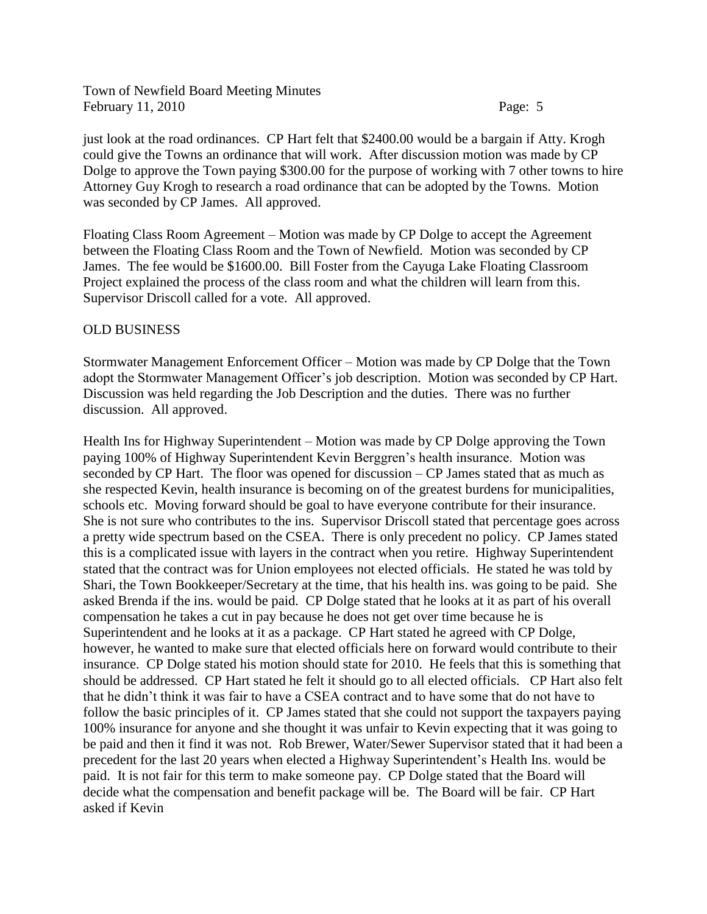just look at the road ordinances. CP Hart felt that \$2400.00 would be a bargain if Atty. Krogh could give the Towns an ordinance that will work. After discussion motion was made by CP Dolge to approve the Town paying \$300.00 for the purpose of working with 7 other towns to hire Attorney Guy Krogh to research a road ordinance that can be adopted by the Towns. Motion was seconded by CP James. All approved.

Floating Class Room Agreement – Motion was made by CP Dolge to accept the Agreement between the Floating Class Room and the Town of Newfield. Motion was seconded by CP James. The fee would be \$1600.00. Bill Foster from the Cayuga Lake Floating Classroom Project explained the process of the class room and what the children will learn from this. Supervisor Driscoll called for a vote. All approved.

# OLD BUSINESS

Stormwater Management Enforcement Officer – Motion was made by CP Dolge that the Town adopt the Stormwater Management Officer's job description. Motion was seconded by CP Hart. Discussion was held regarding the Job Description and the duties. There was no further discussion. All approved.

Health Ins for Highway Superintendent – Motion was made by CP Dolge approving the Town paying 100% of Highway Superintendent Kevin Berggren's health insurance. Motion was seconded by CP Hart. The floor was opened for discussion – CP James stated that as much as she respected Kevin, health insurance is becoming on of the greatest burdens for municipalities, schools etc. Moving forward should be goal to have everyone contribute for their insurance. She is not sure who contributes to the ins. Supervisor Driscoll stated that percentage goes across a pretty wide spectrum based on the CSEA. There is only precedent no policy. CP James stated this is a complicated issue with layers in the contract when you retire. Highway Superintendent stated that the contract was for Union employees not elected officials. He stated he was told by Shari, the Town Bookkeeper/Secretary at the time, that his health ins. was going to be paid. She asked Brenda if the ins. would be paid. CP Dolge stated that he looks at it as part of his overall compensation he takes a cut in pay because he does not get over time because he is Superintendent and he looks at it as a package. CP Hart stated he agreed with CP Dolge, however, he wanted to make sure that elected officials here on forward would contribute to their insurance. CP Dolge stated his motion should state for 2010. He feels that this is something that should be addressed. CP Hart stated he felt it should go to all elected officials. CP Hart also felt that he didn't think it was fair to have a CSEA contract and to have some that do not have to follow the basic principles of it. CP James stated that she could not support the taxpayers paying 100% insurance for anyone and she thought it was unfair to Kevin expecting that it was going to be paid and then it find it was not. Rob Brewer, Water/Sewer Supervisor stated that it had been a precedent for the last 20 years when elected a Highway Superintendent's Health Ins. would be paid. It is not fair for this term to make someone pay. CP Dolge stated that the Board will decide what the compensation and benefit package will be. The Board will be fair. CP Hart asked if Kevin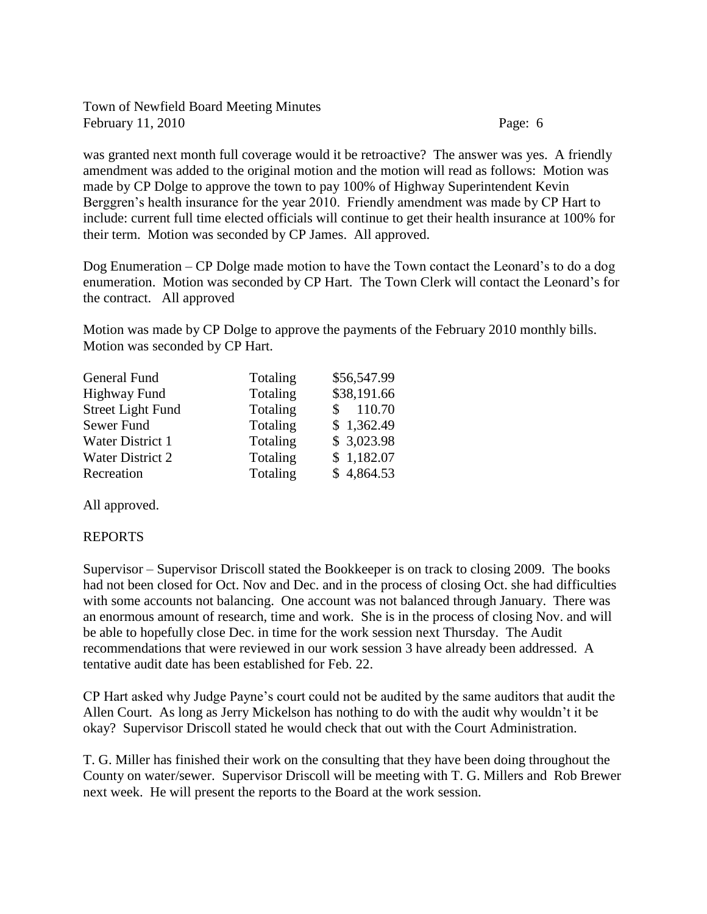was granted next month full coverage would it be retroactive? The answer was yes. A friendly amendment was added to the original motion and the motion will read as follows: Motion was made by CP Dolge to approve the town to pay 100% of Highway Superintendent Kevin Berggren's health insurance for the year 2010. Friendly amendment was made by CP Hart to include: current full time elected officials will continue to get their health insurance at 100% for their term. Motion was seconded by CP James. All approved.

Dog Enumeration – CP Dolge made motion to have the Town contact the Leonard's to do a dog enumeration. Motion was seconded by CP Hart. The Town Clerk will contact the Leonard's for the contract. All approved

Motion was made by CP Dolge to approve the payments of the February 2010 monthly bills. Motion was seconded by CP Hart.

| Totaling | \$56,547.99 |
|----------|-------------|
| Totaling | \$38,191.66 |
| Totaling | \$110.70    |
| Totaling | \$1,362.49  |
| Totaling | \$3,023.98  |
| Totaling | \$1,182.07  |
| Totaling | \$4,864.53  |
|          |             |

All approved.

#### REPORTS

Supervisor – Supervisor Driscoll stated the Bookkeeper is on track to closing 2009. The books had not been closed for Oct. Nov and Dec. and in the process of closing Oct. she had difficulties with some accounts not balancing. One account was not balanced through January. There was an enormous amount of research, time and work. She is in the process of closing Nov. and will be able to hopefully close Dec. in time for the work session next Thursday. The Audit recommendations that were reviewed in our work session 3 have already been addressed. A tentative audit date has been established for Feb. 22.

CP Hart asked why Judge Payne's court could not be audited by the same auditors that audit the Allen Court. As long as Jerry Mickelson has nothing to do with the audit why wouldn't it be okay? Supervisor Driscoll stated he would check that out with the Court Administration.

T. G. Miller has finished their work on the consulting that they have been doing throughout the County on water/sewer. Supervisor Driscoll will be meeting with T. G. Millers and Rob Brewer next week. He will present the reports to the Board at the work session.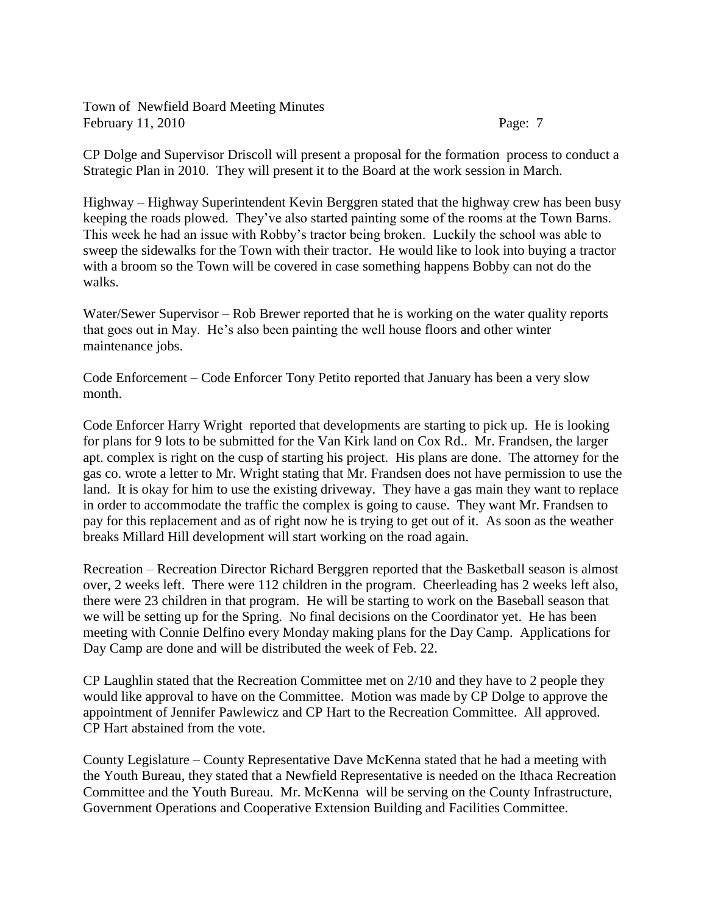CP Dolge and Supervisor Driscoll will present a proposal for the formation process to conduct a Strategic Plan in 2010. They will present it to the Board at the work session in March.

Highway – Highway Superintendent Kevin Berggren stated that the highway crew has been busy keeping the roads plowed. They've also started painting some of the rooms at the Town Barns. This week he had an issue with Robby's tractor being broken. Luckily the school was able to sweep the sidewalks for the Town with their tractor. He would like to look into buying a tractor with a broom so the Town will be covered in case something happens Bobby can not do the walks.

Water/Sewer Supervisor – Rob Brewer reported that he is working on the water quality reports that goes out in May. He's also been painting the well house floors and other winter maintenance jobs.

Code Enforcement – Code Enforcer Tony Petito reported that January has been a very slow month.

Code Enforcer Harry Wright reported that developments are starting to pick up. He is looking for plans for 9 lots to be submitted for the Van Kirk land on Cox Rd.. Mr. Frandsen, the larger apt. complex is right on the cusp of starting his project. His plans are done. The attorney for the gas co. wrote a letter to Mr. Wright stating that Mr. Frandsen does not have permission to use the land. It is okay for him to use the existing driveway. They have a gas main they want to replace in order to accommodate the traffic the complex is going to cause. They want Mr. Frandsen to pay for this replacement and as of right now he is trying to get out of it. As soon as the weather breaks Millard Hill development will start working on the road again.

Recreation – Recreation Director Richard Berggren reported that the Basketball season is almost over, 2 weeks left. There were 112 children in the program. Cheerleading has 2 weeks left also, there were 23 children in that program. He will be starting to work on the Baseball season that we will be setting up for the Spring. No final decisions on the Coordinator yet. He has been meeting with Connie Delfino every Monday making plans for the Day Camp. Applications for Day Camp are done and will be distributed the week of Feb. 22.

CP Laughlin stated that the Recreation Committee met on 2/10 and they have to 2 people they would like approval to have on the Committee. Motion was made by CP Dolge to approve the appointment of Jennifer Pawlewicz and CP Hart to the Recreation Committee. All approved. CP Hart abstained from the vote.

County Legislature – County Representative Dave McKenna stated that he had a meeting with the Youth Bureau, they stated that a Newfield Representative is needed on the Ithaca Recreation Committee and the Youth Bureau. Mr. McKenna will be serving on the County Infrastructure, Government Operations and Cooperative Extension Building and Facilities Committee.